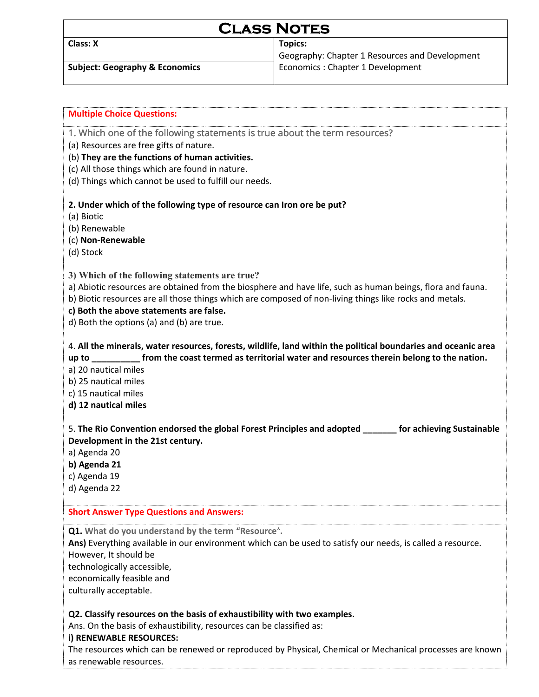# **CLASS NOTES**

**Class: X Topics:**

Geography: Chapter 1 Resources and Development **Subject: Geography & Economics** Economics Economics : Chapter 1 Development

| <b>Multiple Choice Questions:</b>                                                                              |
|----------------------------------------------------------------------------------------------------------------|
| 1. Which one of the following statements is true about the term resources?                                     |
| (a) Resources are free gifts of nature.                                                                        |
| (b) They are the functions of human activities.                                                                |
| (c) All those things which are found in nature.                                                                |
| (d) Things which cannot be used to fulfill our needs.                                                          |
|                                                                                                                |
| 2. Under which of the following type of resource can Iron ore be put?                                          |
| (a) Biotic                                                                                                     |
| (b) Renewable                                                                                                  |
| (c) Non-Renewable                                                                                              |
| (d) Stock                                                                                                      |
|                                                                                                                |
| 3) Which of the following statements are true?                                                                 |
| a) Abiotic resources are obtained from the biosphere and have life, such as human beings, flora and fauna.     |
| b) Biotic resources are all those things which are composed of non-living things like rocks and metals.        |
| c) Both the above statements are false.                                                                        |
| d) Both the options (a) and (b) are true.                                                                      |
|                                                                                                                |
| 4. All the minerals, water resources, forests, wildlife, land within the political boundaries and oceanic area |
| up to ___________ from the coast termed as territorial water and resources therein belong to the nation.       |
| a) 20 nautical miles                                                                                           |
| b) 25 nautical miles                                                                                           |
| c) 15 nautical miles                                                                                           |
| d) 12 nautical miles                                                                                           |
|                                                                                                                |
| 5. The Rio Convention endorsed the global Forest Principles and adopted _______ for achieving Sustainable      |
| Development in the 21st century.                                                                               |
| a) Agenda 20                                                                                                   |
| b) Agenda 21                                                                                                   |
| c) Agenda 19                                                                                                   |
| d) Agenda 22                                                                                                   |
| <b>Short Answer Type Questions and Answers:</b>                                                                |
|                                                                                                                |
| Q1. What do you understand by the term "Resource".                                                             |
| Ans) Everything available in our environment which can be used to satisfy our needs, is called a resource.     |
| However, It should be                                                                                          |
| technologically accessible,                                                                                    |
| economically feasible and                                                                                      |
| culturally acceptable.                                                                                         |
|                                                                                                                |
| Q2. Classify resources on the basis of exhaustibility with two examples.                                       |
| Ans. On the basis of exhaustibility, resources can be classified as:                                           |
| i) RENEWABLE RESOURCES:                                                                                        |
| The resources which can be renewed or reproduced by Physical, Chemical or Mechanical processes are known       |
| as renewable resources.                                                                                        |